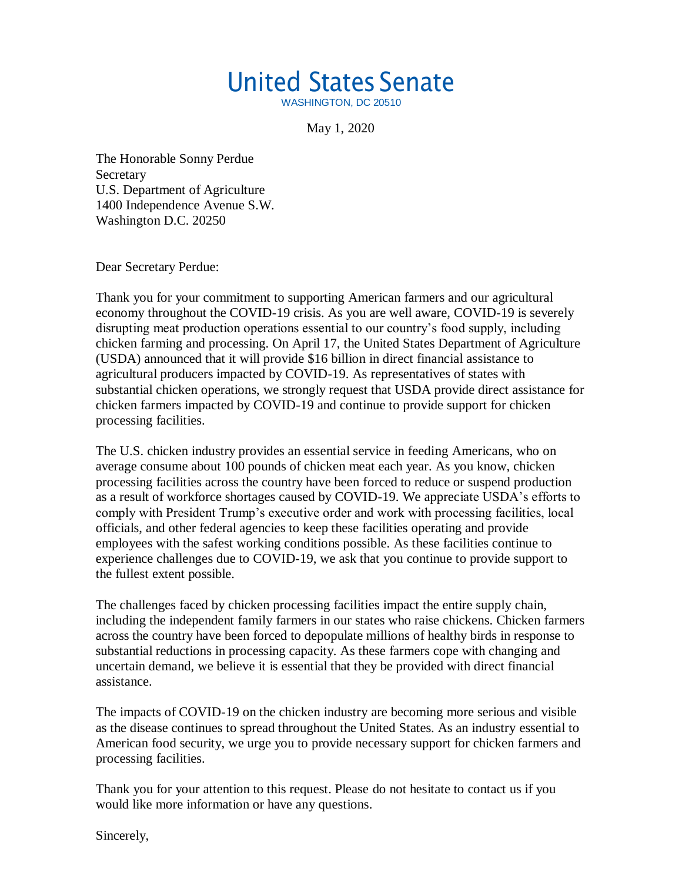## United States Senate

WASHINGTON, DC 20510

May 1, 2020

The Honorable Sonny Perdue **Secretary** U.S. Department of Agriculture 1400 Independence Avenue S.W. Washington D.C. 20250

Dear Secretary Perdue:

Thank you for your commitment to supporting American farmers and our agricultural economy throughout the COVID-19 crisis. As you are well aware, COVID-19 is severely disrupting meat production operations essential to our country's food supply, including chicken farming and processing. On April 17, the United States Department of Agriculture (USDA) announced that it will provide \$16 billion in direct financial assistance to agricultural producers impacted by COVID-19. As representatives of states with substantial chicken operations, we strongly request that USDA provide direct assistance for chicken farmers impacted by COVID-19 and continue to provide support for chicken processing facilities.

The U.S. chicken industry provides an essential service in feeding Americans, who on average consume about 100 pounds of chicken meat each year. As you know, chicken processing facilities across the country have been forced to reduce or suspend production as a result of workforce shortages caused by COVID-19. We appreciate USDA's efforts to comply with President Trump's executive order and work with processing facilities, local officials, and other federal agencies to keep these facilities operating and provide employees with the safest working conditions possible. As these facilities continue to experience challenges due to COVID-19, we ask that you continue to provide support to the fullest extent possible.

The challenges faced by chicken processing facilities impact the entire supply chain, including the independent family farmers in our states who raise chickens. Chicken farmers across the country have been forced to depopulate millions of healthy birds in response to substantial reductions in processing capacity. As these farmers cope with changing and uncertain demand, we believe it is essential that they be provided with direct financial assistance.

The impacts of COVID-19 on the chicken industry are becoming more serious and visible as the disease continues to spread throughout the United States. As an industry essential to American food security, we urge you to provide necessary support for chicken farmers and processing facilities.

Thank you for your attention to this request. Please do not hesitate to contact us if you would like more information or have any questions.

Sincerely,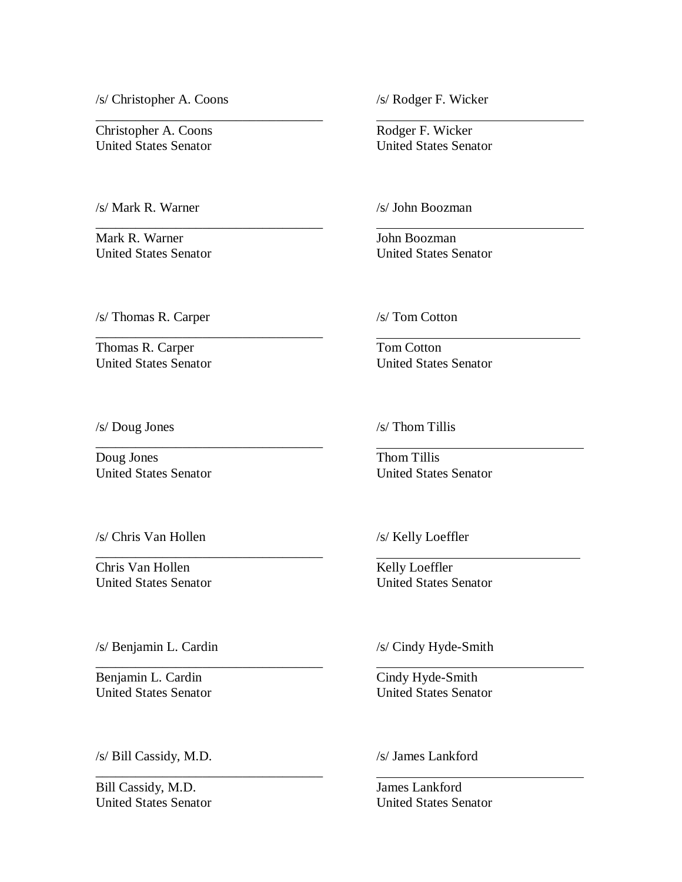/s/ Christopher A. Coons /s/ Rodger F. Wicker

Christopher A. Coons Rodger F. Wicker United States Senator United States Senator

/s/ Mark R. Warner /s/ John Boozman

Mark R. Warner John Boozman

\_\_\_\_\_\_\_\_\_\_\_\_\_\_\_\_\_\_\_\_\_\_\_\_\_\_\_\_\_\_\_\_\_\_

\_\_\_\_\_\_\_\_\_\_\_\_\_\_\_\_\_\_\_\_\_\_\_\_\_\_\_\_\_\_\_\_\_\_

 $\overline{\phantom{a}}$  , and the contract of the contract of the contract of the contract of the contract of the contract of the contract of the contract of the contract of the contract of the contract of the contract of the contrac

\_\_\_\_\_\_\_\_\_\_\_\_\_\_\_\_\_\_\_\_\_\_\_\_\_\_\_\_\_\_\_\_\_\_

\_\_\_\_\_\_\_\_\_\_\_\_\_\_\_\_\_\_\_\_\_\_\_\_\_\_\_\_\_\_\_\_\_\_

\_\_\_\_\_\_\_\_\_\_\_\_\_\_\_\_\_\_\_\_\_\_\_\_\_\_\_\_\_\_\_\_\_\_

\_\_\_\_\_\_\_\_\_\_\_\_\_\_\_\_\_\_\_\_\_\_\_\_\_\_\_\_\_\_\_\_\_\_

United States Senator United States Senator

/s/ Thomas R. Carper /s/ Tom Cotton

Thomas R. Carper Tom Cotton United States Senator United States Senator

/s/ Doug Jones /s/ Thom Tillis

Doug Jones Thom Tillis

United States Senator United States Senator

/s/ Chris Van Hollen /s/ Kelly Loeffler

Chris Van Hollen Kelly Loeffler United States Senator United States Senator

/s/ Benjamin L. Cardin /s/ Cindy Hyde-Smith

Benjamin L. Cardin Cindy Hyde-Smith

United States Senator United States Senator

/s/ Bill Cassidy, M.D. /s/ James Lankford

Bill Cassidy, M.D. James Lankford

United States Senator United States Senator